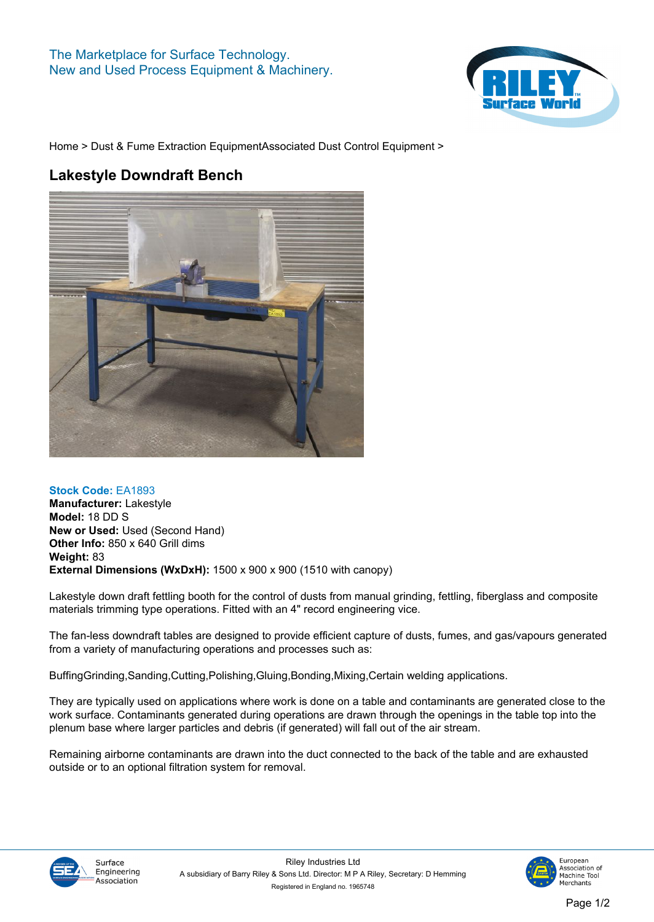

**[Home](https://www.rileysurfaceworld.co.uk) > [Dust & Fume Extraction Equipment](https://www.rileysurfaceworld.co.uk/dust-fume.asp)[Associated Dust Control Equipment](https://www.rileysurfaceworld.co.uk/dust-associated.asp) >**

## **Lakestyle Downdraft Bench**



**Stock Code: EA1893 Manufacturer: Lakestyle Model: 18 DD S New or Used: Used (Second Hand) Other Info: 850 x 640 Grill dims Weight: 83 External Dimensions (WxDxH): 1500 x 900 x 900 (1510 with canopy)**

**Lakestyle down draft fettling booth for the control of dusts from manual grinding, fettling, fiberglass and composite materials trimming type operations. Fitted with an 4" record engineering vice.**

**The fan-less downdraft tables are designed to provide efficient capture of dusts, fumes, and gas/vapours generated from a variety of manufacturing operations and processes such as:**

**BuffingGrinding,Sanding,Cutting,Polishing,Gluing,Bonding,Mixing,Certain welding applications.**

**They are typically used on applications where work is done on a table and contaminants are generated close to the work surface. Contaminants generated during operations are drawn through the openings in the table top into the plenum base where larger particles and debris (if generated) will fall out of the air stream.**

**Remaining airborne contaminants are drawn into the duct connected to the back of the table and are exhausted outside or to an optional filtration system for removal.**